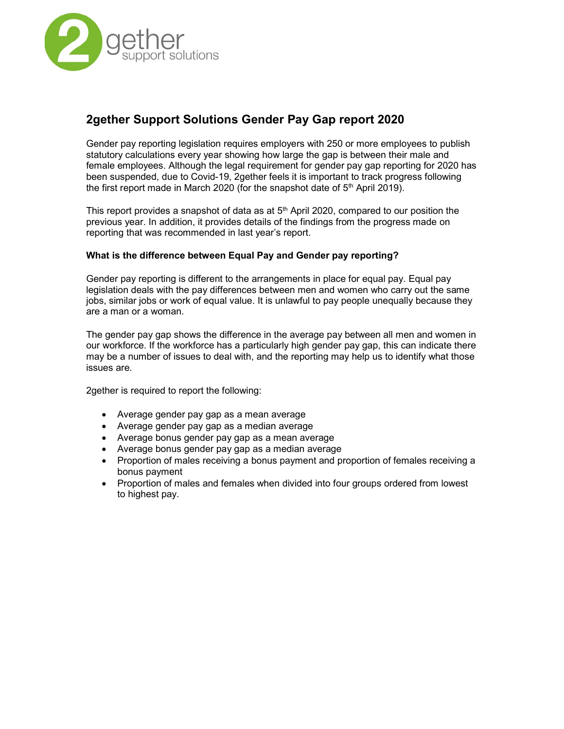

# 2gether Support Solutions Gender Pay Gap report 2020

Gender pay reporting legislation requires employers with 250 or more employees to publish statutory calculations every year showing how large the gap is between their male and female employees. Although the legal requirement for gender pay gap reporting for 2020 has been suspended, due to Covid-19, 2gether feels it is important to track progress following the first report made in March 2020 (for the snapshot date of  $5<sup>th</sup>$  April 2019).

This report provides a snapshot of data as at  $5<sup>th</sup>$  April 2020, compared to our position the previous year. In addition, it provides details of the findings from the progress made on reporting that was recommended in last year's report.

# What is the difference between Equal Pay and Gender pay reporting?

Gender pay reporting is different to the arrangements in place for equal pay. Equal pay legislation deals with the pay differences between men and women who carry out the same jobs, similar jobs or work of equal value. It is unlawful to pay people unequally because they are a man or a woman.

The gender pay gap shows the difference in the average pay between all men and women in our workforce. If the workforce has a particularly high gender pay gap, this can indicate there may be a number of issues to deal with, and the reporting may help us to identify what those issues are.

2gether is required to report the following:

- Average gender pay gap as a mean average
- Average gender pay gap as a median average
- Average bonus gender pay gap as a mean average
- Average bonus gender pay gap as a median average
- Proportion of males receiving a bonus payment and proportion of females receiving a bonus payment
- Proportion of males and females when divided into four groups ordered from lowest to highest pay.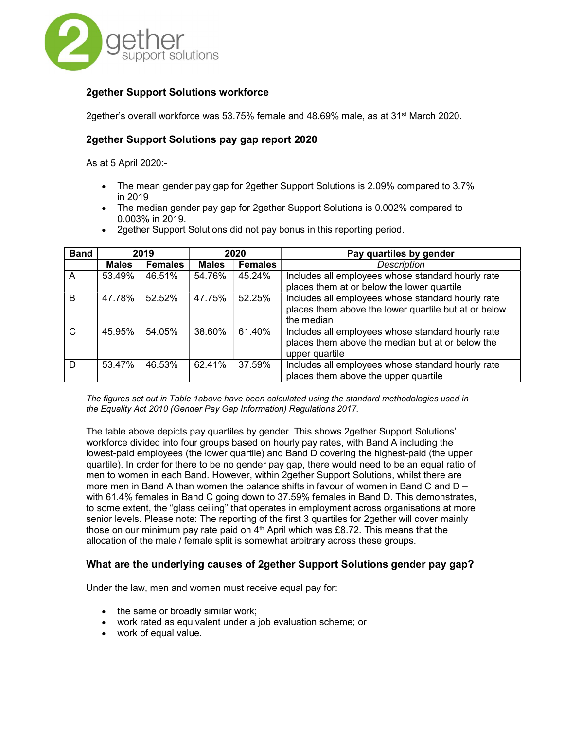

# 2gether Support Solutions workforce

2gether's overall workforce was 53.75% female and 48.69% male, as at 31<sup>st</sup> March 2020.

# 2gether Support Solutions pay gap report 2020

As at 5 April 2020:-

- The mean gender pay gap for 2gether Support Solutions is 2.09% compared to 3.7% in 2019
- The median gender pay gap for 2gether Support Solutions is 0.002% compared to 0.003% in 2019.
- 2gether Support Solutions did not pay bonus in this reporting period.

| <b>Band</b>  | 2019         |                | 2020         |                | Pay quartiles by gender                                                                                                 |
|--------------|--------------|----------------|--------------|----------------|-------------------------------------------------------------------------------------------------------------------------|
|              | <b>Males</b> | <b>Females</b> | <b>Males</b> | <b>Females</b> | <b>Description</b>                                                                                                      |
| A            | 53.49%       | 46.51%         | 54.76%       | 45.24%         | Includes all employees whose standard hourly rate<br>places them at or below the lower quartile                         |
| B            | 47.78%       | 52.52%         | 47.75%       | 52.25%         | Includes all employees whose standard hourly rate<br>places them above the lower quartile but at or below<br>the median |
| $\mathsf{C}$ | 45.95%       | 54.05%         | 38.60%       | 61.40%         | Includes all employees whose standard hourly rate<br>places them above the median but at or below the<br>upper quartile |
| D            | 53.47%       | 46.53%         | 62.41%       | 37.59%         | Includes all employees whose standard hourly rate<br>places them above the upper quartile                               |

The figures set out in Table 1above have been calculated using the standard methodologies used in the Equality Act 2010 (Gender Pay Gap Information) Regulations 2017.

The table above depicts pay quartiles by gender. This shows 2gether Support Solutions' workforce divided into four groups based on hourly pay rates, with Band A including the lowest-paid employees (the lower quartile) and Band D covering the highest-paid (the upper quartile). In order for there to be no gender pay gap, there would need to be an equal ratio of men to women in each Band. However, within 2gether Support Solutions, whilst there are more men in Band A than women the balance shifts in favour of women in Band C and D – with 61.4% females in Band C going down to 37.59% females in Band D. This demonstrates, to some extent, the "glass ceiling" that operates in employment across organisations at more senior levels. Please note: The reporting of the first 3 quartiles for 2gether will cover mainly those on our minimum pay rate paid on  $4<sup>th</sup>$  April which was £8.72. This means that the allocation of the male / female split is somewhat arbitrary across these groups.

# What are the underlying causes of 2gether Support Solutions gender pay gap?

Under the law, men and women must receive equal pay for:

- $\bullet$  the same or broadly similar work;
- work rated as equivalent under a job evaluation scheme; or
- work of equal value.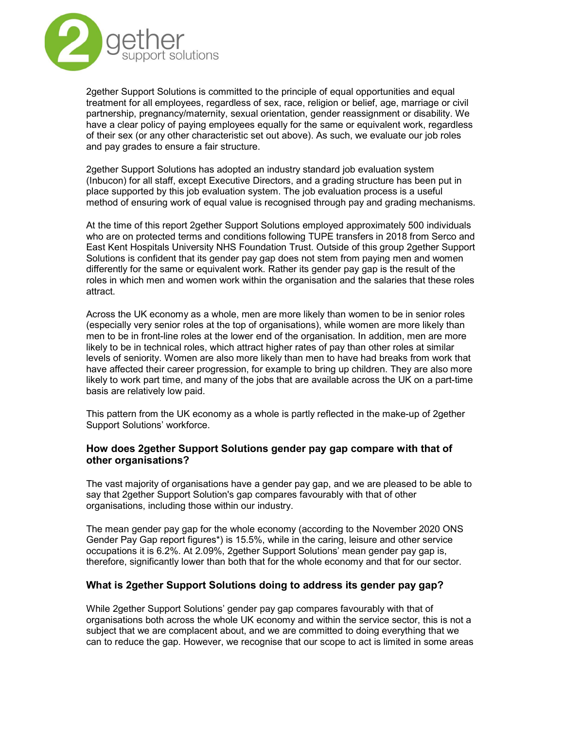

2gether Support Solutions is committed to the principle of equal opportunities and equal treatment for all employees, regardless of sex, race, religion or belief, age, marriage or civil partnership, pregnancy/maternity, sexual orientation, gender reassignment or disability. We have a clear policy of paying employees equally for the same or equivalent work, regardless of their sex (or any other characteristic set out above). As such, we evaluate our job roles and pay grades to ensure a fair structure.

2gether Support Solutions has adopted an industry standard job evaluation system (Inbucon) for all staff, except Executive Directors, and a grading structure has been put in place supported by this job evaluation system. The job evaluation process is a useful method of ensuring work of equal value is recognised through pay and grading mechanisms.

At the time of this report 2gether Support Solutions employed approximately 500 individuals who are on protected terms and conditions following TUPE transfers in 2018 from Serco and East Kent Hospitals University NHS Foundation Trust. Outside of this group 2gether Support Solutions is confident that its gender pay gap does not stem from paying men and women differently for the same or equivalent work. Rather its gender pay gap is the result of the roles in which men and women work within the organisation and the salaries that these roles attract.

Across the UK economy as a whole, men are more likely than women to be in senior roles (especially very senior roles at the top of organisations), while women are more likely than men to be in front-line roles at the lower end of the organisation. In addition, men are more likely to be in technical roles, which attract higher rates of pay than other roles at similar levels of seniority. Women are also more likely than men to have had breaks from work that have affected their career progression, for example to bring up children. They are also more likely to work part time, and many of the jobs that are available across the UK on a part-time basis are relatively low paid.

This pattern from the UK economy as a whole is partly reflected in the make-up of 2gether Support Solutions' workforce.

# How does 2gether Support Solutions gender pay gap compare with that of other organisations?

The vast majority of organisations have a gender pay gap, and we are pleased to be able to say that 2gether Support Solution's gap compares favourably with that of other organisations, including those within our industry.

The mean gender pay gap for the whole economy (according to the November 2020 ONS Gender Pay Gap report figures\*) is 15.5%, while in the caring, leisure and other service occupations it is 6.2%. At 2.09%, 2gether Support Solutions' mean gender pay gap is, therefore, significantly lower than both that for the whole economy and that for our sector.

# What is 2gether Support Solutions doing to address its gender pay gap?

While 2gether Support Solutions' gender pay gap compares favourably with that of organisations both across the whole UK economy and within the service sector, this is not a subject that we are complacent about, and we are committed to doing everything that we can to reduce the gap. However, we recognise that our scope to act is limited in some areas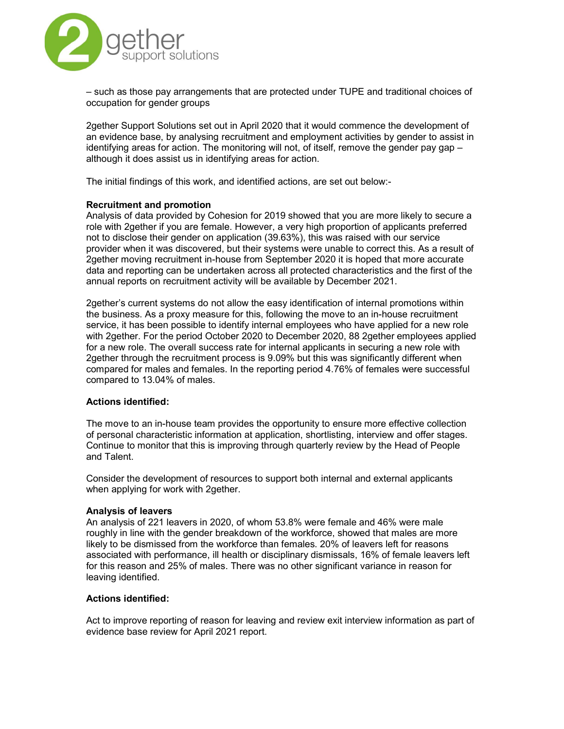

– such as those pay arrangements that are protected under TUPE and traditional choices of occupation for gender groups

2gether Support Solutions set out in April 2020 that it would commence the development of an evidence base, by analysing recruitment and employment activities by gender to assist in identifying areas for action. The monitoring will not, of itself, remove the gender pay gap – although it does assist us in identifying areas for action.

The initial findings of this work, and identified actions, are set out below:-

#### Recruitment and promotion

Analysis of data provided by Cohesion for 2019 showed that you are more likely to secure a role with 2gether if you are female. However, a very high proportion of applicants preferred not to disclose their gender on application (39.63%), this was raised with our service provider when it was discovered, but their systems were unable to correct this. As a result of 2gether moving recruitment in-house from September 2020 it is hoped that more accurate data and reporting can be undertaken across all protected characteristics and the first of the annual reports on recruitment activity will be available by December 2021.

2gether's current systems do not allow the easy identification of internal promotions within the business. As a proxy measure for this, following the move to an in-house recruitment service, it has been possible to identify internal employees who have applied for a new role with 2gether. For the period October 2020 to December 2020, 88 2gether employees applied for a new role. The overall success rate for internal applicants in securing a new role with 2gether through the recruitment process is 9.09% but this was significantly different when compared for males and females. In the reporting period 4.76% of females were successful compared to 13.04% of males.

#### Actions identified:

The move to an in-house team provides the opportunity to ensure more effective collection of personal characteristic information at application, shortlisting, interview and offer stages. Continue to monitor that this is improving through quarterly review by the Head of People and Talent.

Consider the development of resources to support both internal and external applicants when applying for work with 2gether.

#### Analysis of leavers

An analysis of 221 leavers in 2020, of whom 53.8% were female and 46% were male roughly in line with the gender breakdown of the workforce, showed that males are more likely to be dismissed from the workforce than females. 20% of leavers left for reasons associated with performance, ill health or disciplinary dismissals, 16% of female leavers left for this reason and 25% of males. There was no other significant variance in reason for leaving identified.

#### Actions identified:

Act to improve reporting of reason for leaving and review exit interview information as part of evidence base review for April 2021 report.